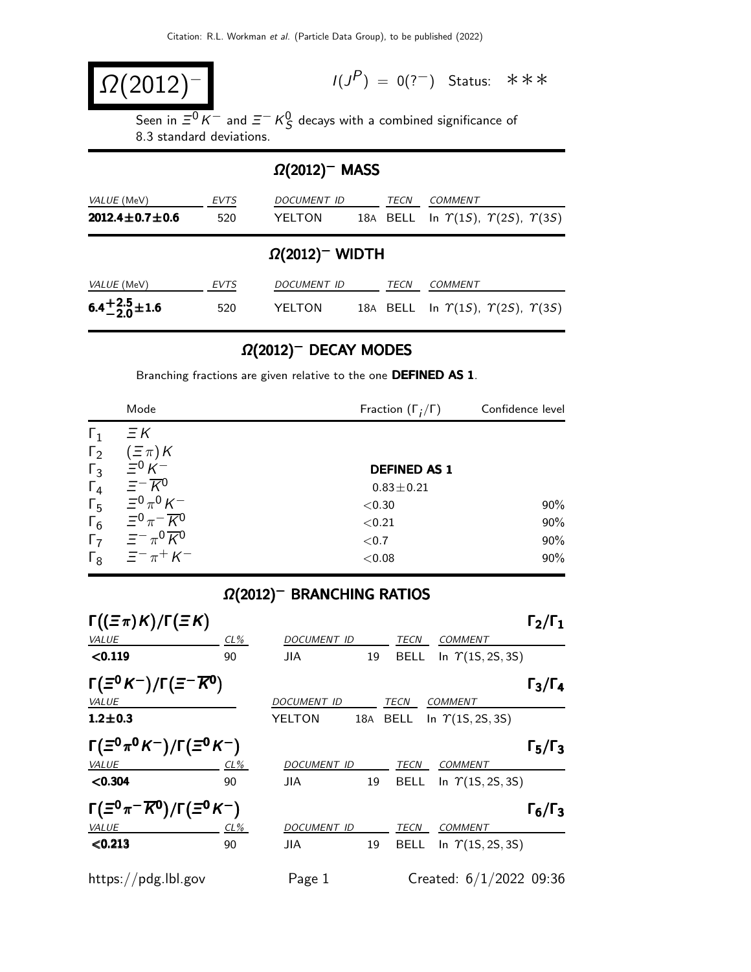$$
\Omega(2012)^{-1}
$$

 $I(J^{P}) = 0(??^{-})$  Status: \*\*\*

Seen in  $\overline{\Xi^0\,K^-}$  and  $\overline{\Xi^-}\,K_S^0$  decays with a combined significance of 8.3 standard deviations.

## Ω(2012)<sup>−</sup> MASS

| VALUE (MeV)<br>$2012.4 \pm 0.7 \pm 0.6$ | <b>EVTS</b><br>520 | DOCUMENT ID<br>YELTON |  | TECN | <b>COMMENT</b><br>18A BELL In $\Upsilon(1S)$ , $\Upsilon(2S)$ , $\Upsilon(3S)$ |  |  |
|-----------------------------------------|--------------------|-----------------------|--|------|--------------------------------------------------------------------------------|--|--|
| $\Omega(2012)$ <sup>-</sup> WIDTH       |                    |                       |  |      |                                                                                |  |  |
| VALUE (MeV)                             | <b>EVTS</b>        | DOCUMENT ID           |  | TECN | <b>COMMENT</b>                                                                 |  |  |
| $6.4^{+2.5}_{-2.0}$ ± 1.6               | 520                | YELTON                |  |      | 18A BELL In $\Upsilon(1S)$ , $\Upsilon(2S)$ , $\Upsilon(3S)$                   |  |  |

## $\Omega(2012)^-$  DECAY MODES

Branching fractions are given relative to the one DEFINED AS 1.

|              | Mode                                                    | Fraction $(\Gamma_i/\Gamma)$ | Confidence level |  |
|--------------|---------------------------------------------------------|------------------------------|------------------|--|
| $\Gamma_1$   | $\Xi K$                                                 |                              |                  |  |
| $\Gamma_2$   | $(\Xi \pi)K$                                            |                              |                  |  |
| $\Gamma_3$   | $\Xi^0 K^-$                                             | <b>DEFINED AS 1</b>          |                  |  |
| $\Gamma_4$   | $\equiv -\overline{K}^0$                                | $0.83 \pm 0.21$              |                  |  |
| $\Gamma_{5}$ | $\equiv$ <sup>0</sup> $\pi$ <sup>0</sup> K <sup>-</sup> | ${<}0.30$                    | $90\%$           |  |
| $\Gamma_6$   | $\Xi^0 \pi^- \overline{K}{}^0$                          | < 0.21                       | 90%              |  |
| $\Gamma$     | $\equiv -\pi^0 \overline{K}{}^0$                        | ${<}0.7$                     | 90%              |  |
|              | $\Gamma_8$ $\equiv$ $\pi$ <sup>+</sup> K <sup>-</sup>   | < 0.08                       | 90%              |  |

## $Ω(2012)$ <sup>-</sup> BRANCHING RATIOS

| $\Gamma((\Xi \pi) K)/\Gamma(\Xi K)$                 |        |             |    |             |                           | $\Gamma_2/\Gamma_1$ |
|-----------------------------------------------------|--------|-------------|----|-------------|---------------------------|---------------------|
| <b>VALUE</b>                                        | $CL\%$ | DOCUMENT ID |    | TECN        | <b>COMMENT</b>            |                     |
| < 0.119                                             | 90     | <b>JIA</b>  | 19 | <b>BELL</b> | In $\Upsilon(15, 25, 35)$ |                     |
| $\Gamma(\Xi^0 K^-)/\Gamma(\Xi^- \overline{K^0})$    |        |             |    |             |                           | $\Gamma_3/\Gamma_4$ |
| <b>VALUE</b>                                        |        | DOCUMENT ID |    | <b>TECN</b> | <b>COMMENT</b>            |                     |
| $1.2 \pm 0.3$                                       |        | YELTON      |    | 18A BELL    | In $\Upsilon(15, 25, 35)$ |                     |
| $\Gamma(\Xi^0 \pi^0 K^-)/\Gamma(\Xi^0 K^-)$         |        |             |    |             |                           | $\Gamma_5/\Gamma_3$ |
| <b>VALUE</b>                                        | CL%    | DOCUMENT ID |    | <b>TECN</b> | <b>COMMENT</b>            |                     |
| < 0.304                                             | 90     | JIA.        | 19 | <b>BELL</b> | In $\Upsilon(15, 25, 35)$ |                     |
| $\Gamma(\Xi^0\pi^-\overline{K^0})/\Gamma(\Xi^0K^-)$ |        |             |    |             |                           | $\Gamma_6/\Gamma_3$ |
| <b>VALUE</b>                                        | $CL\%$ | DOCUMENT ID |    | TECN        | <b>COMMENT</b>            |                     |
| < 0.213                                             | 90     | JIA         | 19 | <b>BELL</b> | In $\Upsilon(15, 25, 35)$ |                     |
| https://pdg.lbl.gov                                 |        | Page 1      |    |             | Created: 6/1/2022 09:36   |                     |